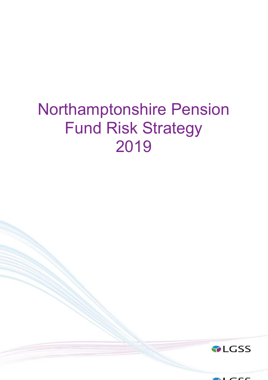# Northamptonshire Pension Fund Risk Strategy 2019



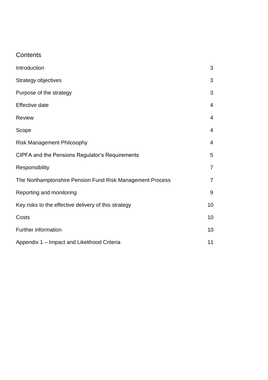# **Contents**

| Introduction                                              | 3              |
|-----------------------------------------------------------|----------------|
| Strategy objectives                                       | 3              |
| Purpose of the strategy                                   | 3              |
| Effective date                                            | $\overline{4}$ |
| <b>Review</b>                                             | $\overline{4}$ |
| Scope                                                     | $\overline{4}$ |
| <b>Risk Management Philosophy</b>                         | $\overline{4}$ |
| CIPFA and the Pensions Regulator's Requirements           | 5              |
| Responsibility                                            | $\overline{7}$ |
| The Northamptonshire Pension Fund Risk Management Process | $\overline{7}$ |
| Reporting and monitoring                                  | $9\,$          |
| Key risks to the effective delivery of this strategy      | 10             |
| Costs                                                     | 10             |
| Further information                                       | 10             |
| Appendix 1 - Impact and Likelihood Criteria               | 11             |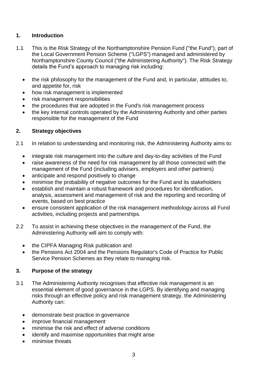#### **1. Introduction**

- 1.1 This is the Risk Strategy of the Northamptonshire Pension Fund ("the Fund"), part of the Local Government Pension Scheme ("LGPS") managed and administered by Northamptonshire County Council ("the Administering Authority"). The Risk Strategy details the Fund's approach to managing risk including:
	- the risk philosophy for the management of the Fund and, in particular, attitudes to, and appetite for, risk
	- how risk management is implemented
	- risk management responsibilities
	- the procedures that are adopted in the Fund's risk management process
	- the key internal controls operated by the Administering Authority and other parties responsible for the management of the Fund

#### **2. Strategy objectives**

- 2.1 In relation to understanding and monitoring risk, the Administering Authority aims to:
	- integrate risk management into the culture and day-to-day activities of the Fund
	- raise awareness of the need for risk management by all those connected with the management of the Fund (including advisers, employers and other partners)
	- anticipate and respond positively to change
	- minimise the probability of negative outcomes for the Fund and its stakeholders
	- establish and maintain a robust framework and procedures for identification, analysis, assessment and management of risk and the reporting and recording of events, based on best practice
	- ensure consistent application of the risk management methodology across all Fund activities, including projects and partnerships.
- 2.2 To assist in achieving these objectives in the management of the Fund, the Administering Authority will aim to comply with:
	- the CIPFA Managing Risk publication and
	- the Pensions Act 2004 and the Pensions Regulator's Code of Practice for Public Service Pension Schemes as they relate to managing risk.

#### **3. Purpose of the strategy**

- 3.1 The Administering Authority recognises that effective risk management is an essential element of good governance in the LGPS. By identifying and managing risks through an effective policy and risk management strategy, the Administering Authority can:
	- demonstrate best practice in governance
	- improve financial management
	- minimise the risk and effect of adverse conditions
	- identify and maximise opportunities that might arise
	- minimise threats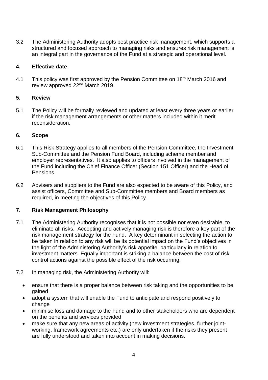3.2 The Administering Authority adopts best practice risk management, which supports a structured and focused approach to managing risks and ensures risk management is an integral part in the governance of the Fund at a strategic and operational level.

#### **4. Effective date**

4.1 This policy was first approved by the Pension Committee on 18<sup>th</sup> March 2016 and review approved 22nd March 2019.

#### **5. Review**

5.1 The Policy will be formally reviewed and updated at least every three years or earlier if the risk management arrangements or other matters included within it merit reconsideration.

#### **6. Scope**

- 6.1 This Risk Strategy applies to all members of the Pension Committee, the Investment Sub-Committee and the Pension Fund Board, including scheme member and employer representatives. It also applies to officers involved in the management of the Fund including the Chief Finance Officer (Section 151 Officer) and the Head of Pensions.
- 6.2 Advisers and suppliers to the Fund are also expected to be aware of this Policy, and assist officers, Committee and Sub-Committee members and Board members as required, in meeting the objectives of this Policy.

#### **7. Risk Management Philosophy**

- 7.1 The Administering Authority recognises that it is not possible nor even desirable, to eliminate all risks. Accepting and actively managing risk is therefore a key part of the risk management strategy for the Fund. A key determinant in selecting the action to be taken in relation to any risk will be its potential impact on the Fund's objectives in the light of the Administering Authority's risk appetite, particularly in relation to investment matters. Equally important is striking a balance between the cost of risk control actions against the possible effect of the risk occurring.
- 7.2 In managing risk, the Administering Authority will:
	- ensure that there is a proper balance between risk taking and the opportunities to be gained
	- adopt a system that will enable the Fund to anticipate and respond positively to change
	- minimise loss and damage to the Fund and to other stakeholders who are dependent on the benefits and services provided
	- make sure that any new areas of activity (new investment strategies, further jointworking, framework agreements etc.) are only undertaken if the risks they present are fully understood and taken into account in making decisions.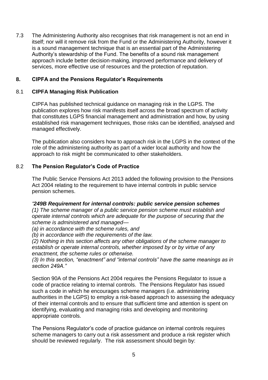7.3 The Administering Authority also recognises that risk management is not an end in itself; nor will it remove risk from the Fund or the Administering Authority, however it is a sound management technique that is an essential part of the Administering Authority's stewardship of the Fund. The benefits of a sound risk management approach include better decision-making, improved performance and delivery of services, more effective use of resources and the protection of reputation.

#### **8. CIPFA and the Pensions Regulator's Requirements**

#### 8.1 **CIPFA Managing Risk Publication**

CIPFA has published technical guidance on managing risk in the LGPS. The publication explores how risk manifests itself across the broad spectrum of activity that constitutes LGPS financial management and administration and how, by using established risk management techniques, those risks can be identified, analysed and managed effectively.

The publication also considers how to approach risk in the LGPS in the context of the role of the administering authority as part of a wider local authority and how the approach to risk might be communicated to other stakeholders.

#### 8.2 **The Pension Regulator's Code of Practice**

The Public Service Pensions Act 2013 added the following provision to the Pensions Act 2004 relating to the requirement to have internal controls in public service pension schemes.

#### *"249B Requirement for internal controls: public service pension schemes*

*(1) The scheme manager of a public service pension scheme must establish and operate internal controls which are adequate for the purpose of securing that the scheme is administered and managed—*

*(a) in accordance with the scheme rules, and*

*(b) in accordance with the requirements of the law.*

*(2) Nothing in this section affects any other obligations of the scheme manager to establish or operate internal controls, whether imposed by or by virtue of any enactment, the scheme rules or otherwise.* 

*(3) In this section, "enactment" and "internal controls" have the same meanings as in section 249A."*

Section 90A of the Pensions Act 2004 requires the Pensions Regulator to issue a code of practice relating to internal controls. The Pensions Regulator has issued such a code in which he encourages scheme managers (i.e. administering authorities in the LGPS) to employ a risk-based approach to assessing the adequacy of their internal controls and to ensure that sufficient time and attention is spent on identifying, evaluating and managing risks and developing and monitoring appropriate controls.

The Pensions Regulator's code of practice guidance on internal controls requires scheme managers to carry out a risk assessment and produce a risk register which should be reviewed regularly. The risk assessment should begin by: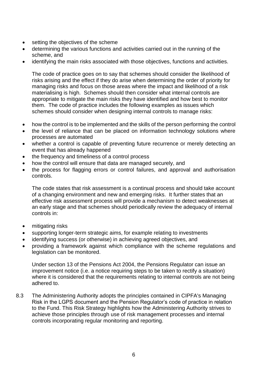- setting the objectives of the scheme
- determining the various functions and activities carried out in the running of the scheme, and
- identifying the main risks associated with those objectives, functions and activities.

The code of practice goes on to say that schemes should consider the likelihood of risks arising and the effect if they do arise when determining the order of priority for managing risks and focus on those areas where the impact and likelihood of a risk materialising is high. Schemes should then consider what internal controls are appropriate to mitigate the main risks they have identified and how best to monitor them. The code of practice includes the following examples as issues which schemes should consider when designing internal controls to manage risks:

- how the control is to be implemented and the skills of the person performing the control
- the level of reliance that can be placed on information technology solutions where processes are automated
- whether a control is capable of preventing future recurrence or merely detecting an event that has already happened
- the frequency and timeliness of a control process
- how the control will ensure that data are managed securely, and
- the process for flagging errors or control failures, and approval and authorisation controls.

The code states that risk assessment is a continual process and should take account of a changing environment and new and emerging risks. It further states that an effective risk assessment process will provide a mechanism to detect weaknesses at an early stage and that schemes should periodically review the adequacy of internal controls in:

- mitigating risks
- supporting longer-term strategic aims, for example relating to investments
- identifying success (or otherwise) in achieving agreed objectives, and
- providing a framework against which compliance with the scheme regulations and legislation can be monitored.

Under section 13 of the Pensions Act 2004, the Pensions Regulator can issue an improvement notice (i.e. a notice requiring steps to be taken to rectify a situation) where it is considered that the requirements relating to internal controls are not being adhered to.

8.3 The Administering Authority adopts the principles contained in CIPFA's Managing Risk in the LGPS document and the Pension Regulator's code of practice in relation to the Fund. This Risk Strategy highlights how the Administering Authority strives to achieve those principles through use of risk management processes and internal controls incorporating regular monitoring and reporting.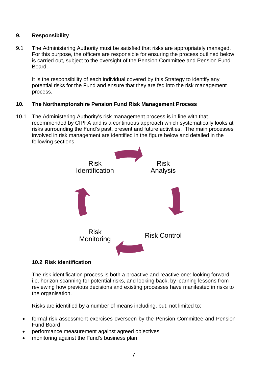#### **9. Responsibility**

9.1 The Administering Authority must be satisfied that risks are appropriately managed. For this purpose, the officers are responsible for ensuring the process outlined below is carried out, subject to the oversight of the Pension Committee and Pension Fund Board.

It is the responsibility of each individual covered by this Strategy to identify any potential risks for the Fund and ensure that they are fed into the risk management process.

#### **10. The Northamptonshire Pension Fund Risk Management Process**

10.1 The Administering Authority's risk management process is in line with that recommended by CIPFA and is a continuous approach which systematically looks at risks surrounding the Fund's past, present and future activities. The main processes involved in risk management are identified in the figure below and detailed in the following sections.



#### **10.2 Risk identification**

The risk identification process is both a proactive and reactive one: looking forward i.e. horizon scanning for potential risks, and looking back, by learning lessons from reviewing how previous decisions and existing processes have manifested in risks to the organisation.

Risks are identified by a number of means including, but, not limited to:

- formal risk assessment exercises overseen by the Pension Committee and Pension Fund Board
- performance measurement against agreed objectives
- monitoring against the Fund's business plan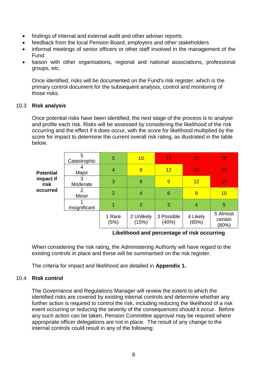- findings of internal and external audit and other adviser reports
- feedback from the local Pension Board, employers and other stakeholders
- informal meetings of senior officers or other staff involved in the management of the Fund
- liaison with other organisations, regional and national associations, professional groups, etc.

Once identified, risks will be documented on the Fund's risk register, which is the primary control document for the subsequent analysis, control and monitoring of those risks.

#### 10.3 **Risk analysis**

Once potential risks have been identified, the next stage of the process is to analyse and profile each risk. Risks will be assessed by considering the likelihood of the risk occurring and the effect if it does occur, with the score for likelihood multiplied by the score for impact to determine the current overall risk rating, as illustrated in the table below.

| <b>Potential</b><br>impact if<br>risk<br>occurred | 5<br>Catastrophic | 5              | 10                  | 15                  | 20                | 25                           |
|---------------------------------------------------|-------------------|----------------|---------------------|---------------------|-------------------|------------------------------|
|                                                   | Major             | 4              | 8                   | 12                  | 16                | 20                           |
|                                                   | 3<br>Moderate     | 3              | 6                   | 9                   | 12                | 15                           |
|                                                   | 2<br>Minor        | $\overline{2}$ | 4                   | 6                   | 8                 | 10                           |
|                                                   | Insignificant     |                | $\overline{2}$      | 3                   | 4                 | 5                            |
|                                                   |                   | 1 Rare<br>(5%) | 2 Unlikely<br>(15%) | 3 Possible<br>(40%) | 4 Likely<br>(65%) | 5 Almost<br>certain<br>(80%) |

#### **Likelihood and percentage of risk occurring**

When considering the risk rating, the Administering Authority will have regard to the existing controls in place and these will be summarised on the risk register.

The criteria for impact and likelihood are detailed in **Appendix 1.**

#### 10.4 **Risk control**

The Governance and Regulations Manager will review the extent to which the identified risks are covered by existing internal controls and determine whether any further action is required to control the risk, including reducing the likelihood of a risk event occurring or reducing the severity of the consequences should it occur. Before any such action can be taken, Pension Committee approval may be required where appropriate officer delegations are not in place. The result of any change to the internal controls could result in any of the following: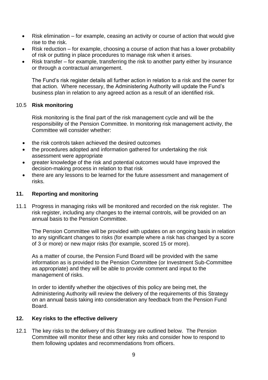- Risk elimination for example, ceasing an activity or course of action that would give rise to the risk.
- Risk reduction for example, choosing a course of action that has a lower probability of risk or putting in place procedures to manage risk when it arises.
- Risk transfer for example, transferring the risk to another party either by insurance or through a contractual arrangement.

The Fund's risk register details all further action in relation to a risk and the owner for that action. Where necessary, the Administering Authority will update the Fund's business plan in relation to any agreed action as a result of an identified risk.

#### 10.5 **Risk monitoring**

Risk monitoring is the final part of the risk management cycle and will be the responsibility of the Pension Committee. In monitoring risk management activity, the Committee will consider whether:

- the risk controls taken achieved the desired outcomes
- the procedures adopted and information gathered for undertaking the risk assessment were appropriate
- greater knowledge of the risk and potential outcomes would have improved the decision-making process in relation to that risk
- there are any lessons to be learned for the future assessment and management of risks.

#### **11. Reporting and monitoring**

11.1 Progress in managing risks will be monitored and recorded on the risk register. The risk register, including any changes to the internal controls, will be provided on an annual basis to the Pension Committee.

The Pension Committee will be provided with updates on an ongoing basis in relation to any significant changes to risks (for example where a risk has changed by a score of 3 or more) or new major risks (for example, scored 15 or more).

As a matter of course, the Pension Fund Board will be provided with the same information as is provided to the Pension Committee (or Investment Sub-Committee as appropriate) and they will be able to provide comment and input to the management of risks.

In order to identify whether the objectives of this policy are being met, the Administering Authority will review the delivery of the requirements of this Strategy on an annual basis taking into consideration any feedback from the Pension Fund Board.

#### **12. Key risks to the effective delivery**

12.1 The key risks to the delivery of this Strategy are outlined below. The Pension Committee will monitor these and other key risks and consider how to respond to them following updates and recommendations from officers.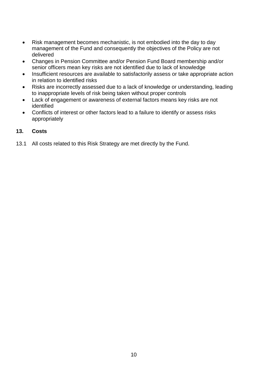- Risk management becomes mechanistic, is not embodied into the day to day management of the Fund and consequently the objectives of the Policy are not delivered
- Changes in Pension Committee and/or Pension Fund Board membership and/or senior officers mean key risks are not identified due to lack of knowledge
- Insufficient resources are available to satisfactorily assess or take appropriate action in relation to identified risks
- Risks are incorrectly assessed due to a lack of knowledge or understanding, leading to inappropriate levels of risk being taken without proper controls
- Lack of engagement or awareness of external factors means key risks are not identified
- Conflicts of interest or other factors lead to a failure to identify or assess risks appropriately

#### **13. Costs**

13.1 All costs related to this Risk Strategy are met directly by the Fund.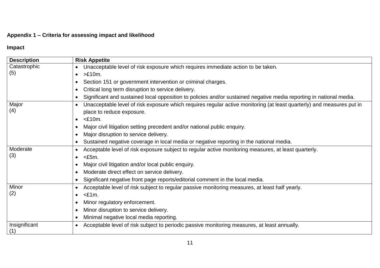# **Appendix 1 – Criteria for assessing impact and likelihood**

## **Impact**

| <b>Description</b> | <b>Risk Appetite</b>                                                                                                               |
|--------------------|------------------------------------------------------------------------------------------------------------------------------------|
|                    |                                                                                                                                    |
| Catastrophic       | Unacceptable level of risk exposure which requires immediate action to be taken.<br>$\bullet$                                      |
| (5)                | $>E10m$ .<br>$\bullet$                                                                                                             |
|                    | Section 151 or government intervention or criminal charges.                                                                        |
|                    | Critical long term disruption to service delivery.<br>$\bullet$                                                                    |
|                    | Significant and sustained local opposition to policies and/or sustained negative media reporting in national media.                |
| Major              | Unacceptable level of risk exposure which requires regular active monitoring (at least quarterly) and measures put in<br>$\bullet$ |
| (4)                | place to reduce exposure.                                                                                                          |
|                    | $<$ £10m.                                                                                                                          |
|                    | Major civil litigation setting precedent and/or national public enquiry.                                                           |
|                    | Major disruption to service delivery.<br>$\bullet$                                                                                 |
|                    | Sustained negative coverage in local media or negative reporting in the national media.                                            |
| Moderate           | Acceptable level of risk exposure subject to regular active monitoring measures, at least quarterly.                               |
| (3)                | $<$ £5m.<br>$\bullet$                                                                                                              |
|                    | Major civil litigation and/or local public enquiry.                                                                                |
|                    | Moderate direct effect on service delivery.                                                                                        |
|                    | Significant negative front page reports/editorial comment in the local media.                                                      |
| Minor              | Acceptable level of risk subject to regular passive monitoring measures, at least half yearly.                                     |
| (2)                | $<$ £1m.<br>$\bullet$                                                                                                              |
|                    | Minor regulatory enforcement.                                                                                                      |
|                    | Minor disruption to service delivery.                                                                                              |
|                    | Minimal negative local media reporting.                                                                                            |
| Insignificant      | Acceptable level of risk subject to periodic passive monitoring measures, at least annually.<br>$\bullet$                          |
| (1)                |                                                                                                                                    |